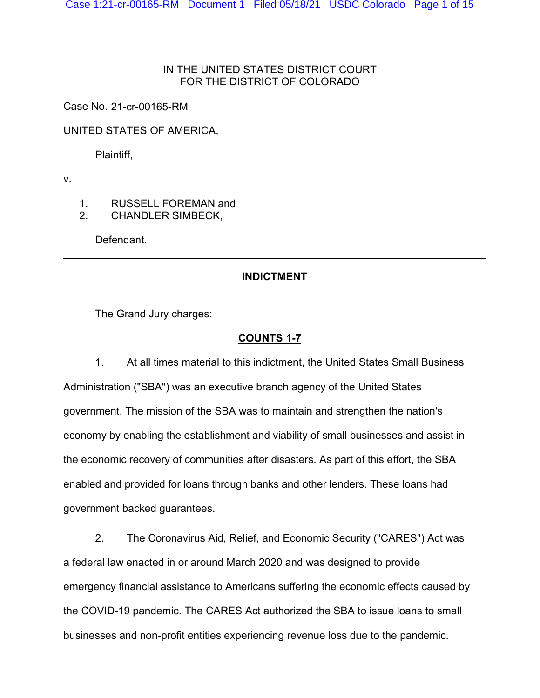### IN THE UNITED STATES DISTRICT COURT FOR THE DISTRICT OF COLORADO

Case No. 21-cr-00165-RM

UNITED STATES OF AMERICA,

Plaintiff,

v.

1. RUSSELL FOREMAN and

2. CHANDLER SIMBECK,

Defendant.

## **INDICTMENT**

The Grand Jury charges:

## **COUNTS 1-7**

1. At all times material to this indictment, the United States Small Business Administration ("SBA") was an executive branch agency of the United States government. The mission of the SBA was to maintain and strengthen the nation's economy by enabling the establishment and viability of small businesses and assist in the economic recovery of communities after disasters. As part of this effort, the SBA enabled and provided for loans through banks and other lenders. These loans had government backed guarantees.

2. The Coronavirus Aid, Relief, and Economic Security ("CARES") Act was a federal law enacted in or around March 2020 and was designed to provide emergency financial assistance to Americans suffering the economic effects caused by the COVID-19 pandemic. The CARES Act authorized the SBA to issue loans to small businesses and non-profit entities experiencing revenue loss due to the pandemic.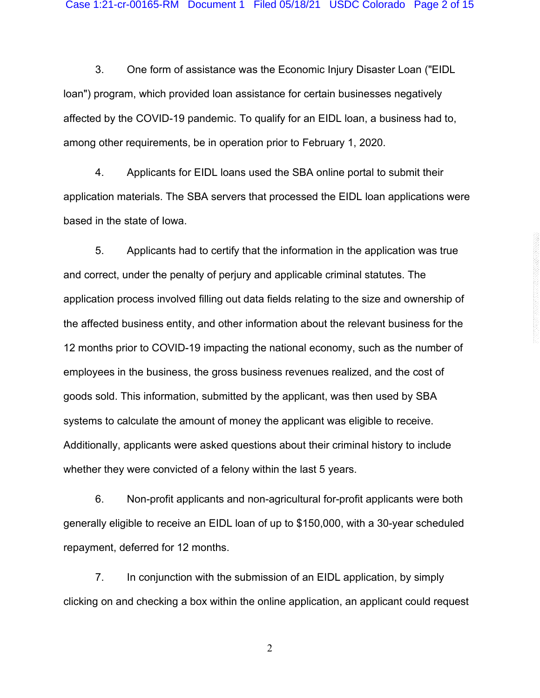3. One form of assistance was the Economic Injury Disaster Loan ("EIDL loan") program, which provided loan assistance for certain businesses negatively affected by the COVID-19 pandemic. To qualify for an EIDL loan, a business had to, among other requirements, be in operation prior to February 1, 2020.

4. Applicants for EIDL loans used the SBA online portal to submit their application materials. The SBA servers that processed the EIDL loan applications were based in the state of Iowa.

5. Applicants had to certify that the information in the application was true and correct, under the penalty of perjury and applicable criminal statutes. The application process involved filling out data fields relating to the size and ownership of the affected business entity, and other information about the relevant business for the 12 months prior to COVID-19 impacting the national economy, such as the number of employees in the business, the gross business revenues realized, and the cost of goods sold. This information, submitted by the applicant, was then used by SBA systems to calculate the amount of money the applicant was eligible to receive. Additionally, applicants were asked questions about their criminal history to include whether they were convicted of a felony within the last 5 years.

6. Non-profit applicants and non-agricultural for-profit applicants were both generally eligible to receive an EIDL loan of up to \$150,000, with a 30-year scheduled repayment, deferred for 12 months.

7. In conjunction with the submission of an EIDL application, by simply clicking on and checking a box within the online application, an applicant could request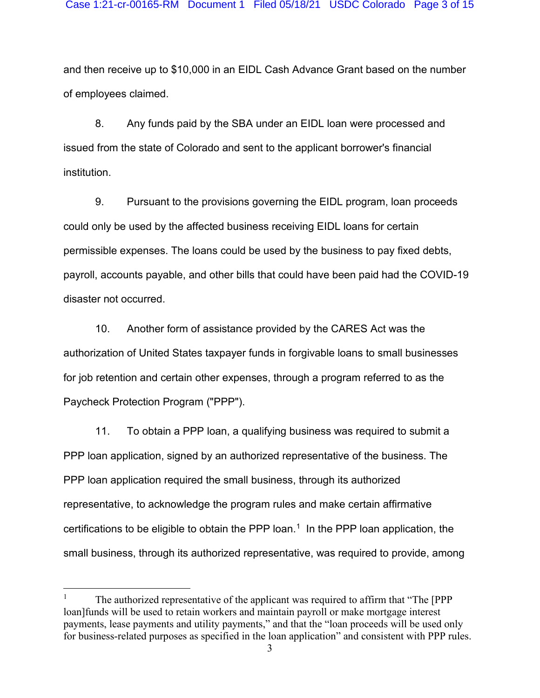and then receive up to \$10,000 in an EIDL Cash Advance Grant based on the number of employees claimed.

8. Any funds paid by the SBA under an EIDL loan were processed and issued from the state of Colorado and sent to the applicant borrower's financial institution.

9. Pursuant to the provisions governing the EIDL program, loan proceeds could only be used by the affected business receiving EIDL loans for certain permissible expenses. The loans could be used by the business to pay fixed debts, payroll, accounts payable, and other bills that could have been paid had the COVID-19 disaster not occurred.

10. Another form of assistance provided by the CARES Act was the authorization of United States taxpayer funds in forgivable loans to small businesses for job retention and certain other expenses, through a program referred to as the Paycheck Protection Program ("PPP").

11. To obtain a PPP loan, a qualifying business was required to submit a PPP loan application, signed by an authorized representative of the business. The PPP loan application required the small business, through its authorized representative, to acknowledge the program rules and make certain affirmative certifications to be eligible to obtain the PPP loan.<sup>1</sup> In the PPP loan application, the small business, through its authorized representative, was required to provide, among

<span id="page-2-0"></span><sup>&</sup>lt;sup>1</sup> The authorized representative of the applicant was required to affirm that "The [PPP] loan]funds will be used to retain workers and maintain payroll or make mortgage interest payments, lease payments and utility payments," and that the "loan proceeds will be used only for business-related purposes as specified in the loan application" and consistent with PPP rules.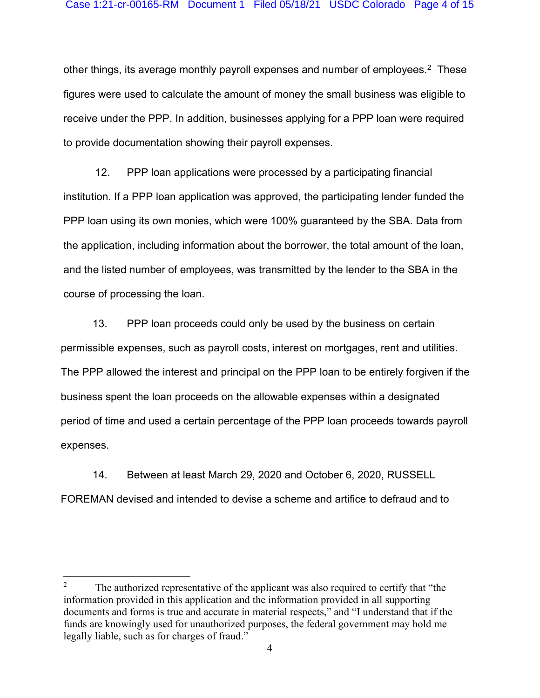other things, its average monthly payroll expenses and number of employees.<sup>[2](#page-3-0)</sup> These figures were used to calculate the amount of money the small business was eligible to receive under the PPP. In addition, businesses applying for a PPP loan were required to provide documentation showing their payroll expenses.

12. PPP loan applications were processed by a participating financial institution. If a PPP loan application was approved, the participating lender funded the PPP loan using its own monies, which were 100% guaranteed by the SBA. Data from the application, including information about the borrower, the total amount of the loan, and the listed number of employees, was transmitted by the lender to the SBA in the course of processing the loan.

13. PPP loan proceeds could only be used by the business on certain permissible expenses, such as payroll costs, interest on mortgages, rent and utilities. The PPP allowed the interest and principal on the PPP loan to be entirely forgiven if the business spent the loan proceeds on the allowable expenses within a designated period of time and used a certain percentage of the PPP loan proceeds towards payroll expenses.

14. Between at least March 29, 2020 and October 6, 2020, RUSSELL FOREMAN devised and intended to devise a scheme and artifice to defraud and to

<span id="page-3-0"></span><sup>&</sup>lt;sup>2</sup> The authorized representative of the applicant was also required to certify that "the information provided in this application and the information provided in all supporting documents and forms is true and accurate in material respects," and "I understand that if the funds are knowingly used for unauthorized purposes, the federal government may hold me legally liable, such as for charges of fraud."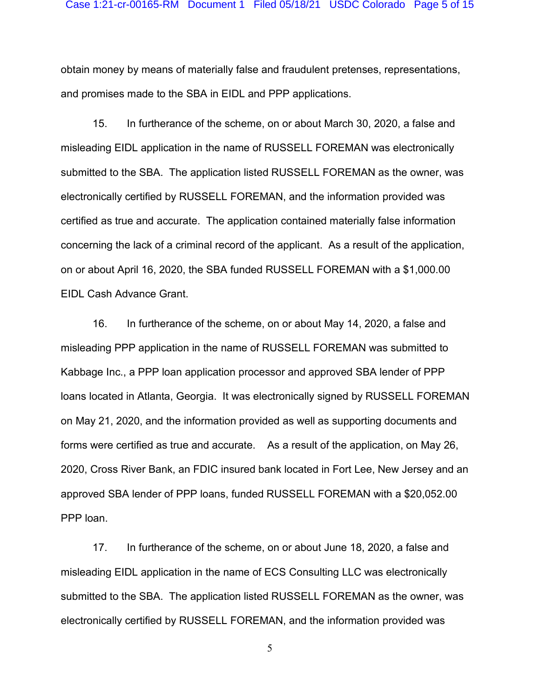obtain money by means of materially false and fraudulent pretenses, representations, and promises made to the SBA in EIDL and PPP applications.

15. In furtherance of the scheme, on or about March 30, 2020, a false and misleading EIDL application in the name of RUSSELL FOREMAN was electronically submitted to the SBA. The application listed RUSSELL FOREMAN as the owner, was electronically certified by RUSSELL FOREMAN, and the information provided was certified as true and accurate. The application contained materially false information concerning the lack of a criminal record of the applicant. As a result of the application, on or about April 16, 2020, the SBA funded RUSSELL FOREMAN with a \$1,000.00 EIDL Cash Advance Grant.

16. In furtherance of the scheme, on or about May 14, 2020, a false and misleading PPP application in the name of RUSSELL FOREMAN was submitted to Kabbage Inc., a PPP loan application processor and approved SBA lender of PPP loans located in Atlanta, Georgia. It was electronically signed by RUSSELL FOREMAN on May 21, 2020, and the information provided as well as supporting documents and forms were certified as true and accurate. As a result of the application, on May 26, 2020, Cross River Bank, an FDIC insured bank located in Fort Lee, New Jersey and an approved SBA lender of PPP loans, funded RUSSELL FOREMAN with a \$20,052.00 PPP loan.

17. In furtherance of the scheme, on or about June 18, 2020, a false and misleading EIDL application in the name of ECS Consulting LLC was electronically submitted to the SBA. The application listed RUSSELL FOREMAN as the owner, was electronically certified by RUSSELL FOREMAN, and the information provided was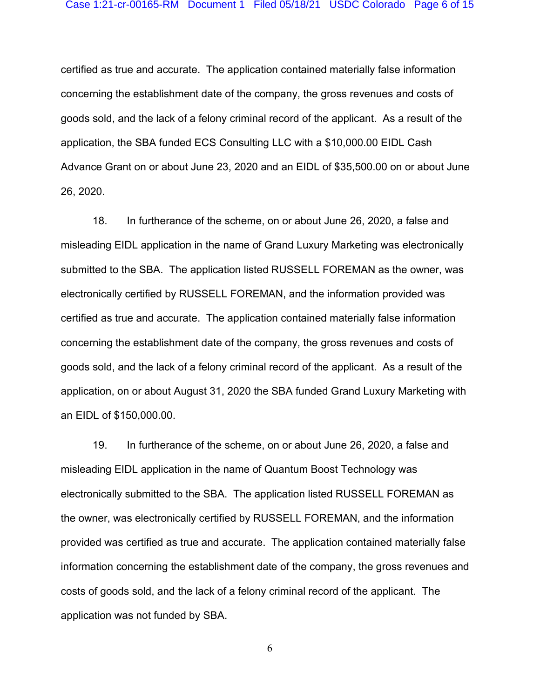certified as true and accurate. The application contained materially false information concerning the establishment date of the company, the gross revenues and costs of goods sold, and the lack of a felony criminal record of the applicant. As a result of the application, the SBA funded ECS Consulting LLC with a \$10,000.00 EIDL Cash Advance Grant on or about June 23, 2020 and an EIDL of \$35,500.00 on or about June 26, 2020.

18. In furtherance of the scheme, on or about June 26, 2020, a false and misleading EIDL application in the name of Grand Luxury Marketing was electronically submitted to the SBA. The application listed RUSSELL FOREMAN as the owner, was electronically certified by RUSSELL FOREMAN, and the information provided was certified as true and accurate. The application contained materially false information concerning the establishment date of the company, the gross revenues and costs of goods sold, and the lack of a felony criminal record of the applicant. As a result of the application, on or about August 31, 2020 the SBA funded Grand Luxury Marketing with an EIDL of \$150,000.00.

19. In furtherance of the scheme, on or about June 26, 2020, a false and misleading EIDL application in the name of Quantum Boost Technology was electronically submitted to the SBA. The application listed RUSSELL FOREMAN as the owner, was electronically certified by RUSSELL FOREMAN, and the information provided was certified as true and accurate. The application contained materially false information concerning the establishment date of the company, the gross revenues and costs of goods sold, and the lack of a felony criminal record of the applicant. The application was not funded by SBA.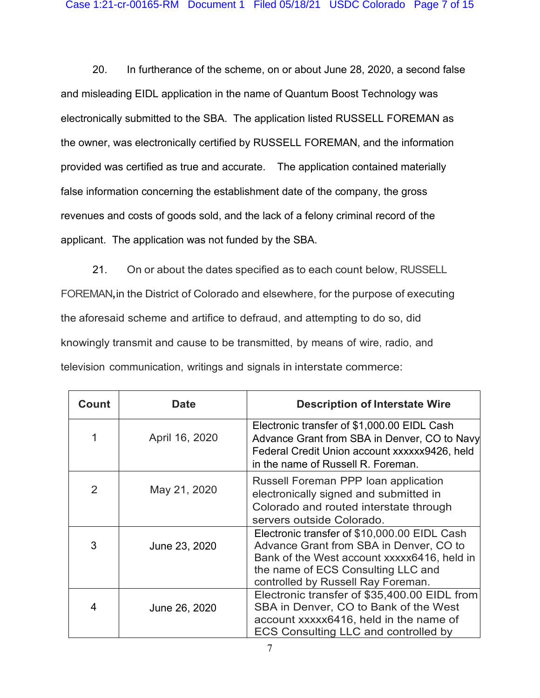20. In furtherance of the scheme, on or about June 28, 2020, a second false and misleading EIDL application in the name of Quantum Boost Technology was electronically submitted to the SBA. The application listed RUSSELL FOREMAN as the owner, was electronically certified by RUSSELL FOREMAN, and the information provided was certified as true and accurate. The application contained materially false information concerning the establishment date of the company, the gross revenues and costs of goods sold, and the lack of a felony criminal record of the applicant. The application was not funded by the SBA.

21. On or about the dates specified as to each count below, RUSSELL FOREMAN**,**in the District of Colorado and elsewhere, for the purpose of executing the aforesaid scheme and artifice to defraud, and attempting to do so, did knowingly transmit and cause to be transmitted, by means of wire, radio, and television communication, writings and signals in interstate commerce:

| Count | Date           | <b>Description of Interstate Wire</b>                                                                                                                                                                              |
|-------|----------------|--------------------------------------------------------------------------------------------------------------------------------------------------------------------------------------------------------------------|
|       | April 16, 2020 | Electronic transfer of \$1,000.00 EIDL Cash<br>Advance Grant from SBA in Denver, CO to Navy<br>Federal Credit Union account xxxxxx9426, held<br>in the name of Russell R. Foreman.                                 |
| 2     | May 21, 2020   | Russell Foreman PPP loan application<br>electronically signed and submitted in<br>Colorado and routed interstate through<br>servers outside Colorado.                                                              |
| 3     | June 23, 2020  | Electronic transfer of \$10,000.00 EIDL Cash<br>Advance Grant from SBA in Denver, CO to<br>Bank of the West account xxxxx6416, held in<br>the name of ECS Consulting LLC and<br>controlled by Russell Ray Foreman. |
| 4     | June 26, 2020  | Electronic transfer of \$35,400.00 EIDL from<br>SBA in Denver, CO to Bank of the West<br>account xxxxx6416, held in the name of<br><b>ECS Consulting LLC and controlled by</b>                                     |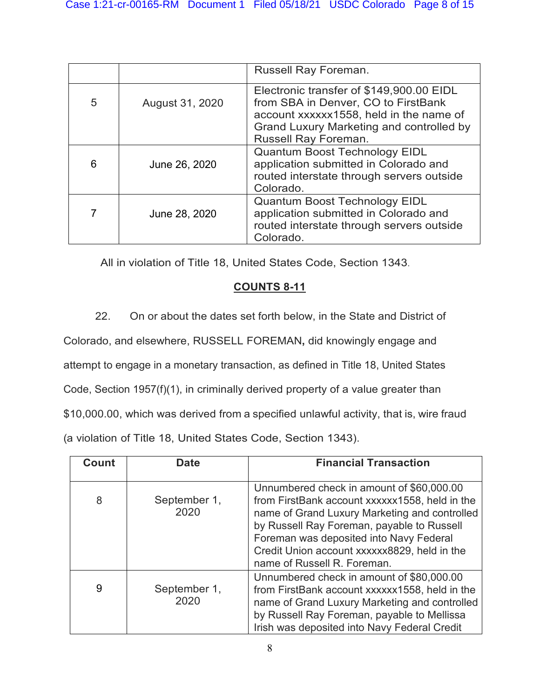|   |                 | Russell Ray Foreman.                                                                                                                                                                           |
|---|-----------------|------------------------------------------------------------------------------------------------------------------------------------------------------------------------------------------------|
| 5 | August 31, 2020 | Electronic transfer of \$149,900.00 EIDL<br>from SBA in Denver, CO to FirstBank<br>account xxxxxx1558, held in the name of<br>Grand Luxury Marketing and controlled by<br>Russell Ray Foreman. |
| 6 | June 26, 2020   | <b>Quantum Boost Technology EIDL</b><br>application submitted in Colorado and<br>routed interstate through servers outside<br>Colorado.                                                        |
| 7 | June 28, 2020   | <b>Quantum Boost Technology EIDL</b><br>application submitted in Colorado and<br>routed interstate through servers outside<br>Colorado.                                                        |

All in violation of Title 18, United States Code, Section 1343.

# **COUNTS 8-11**

22. On or about the dates set forth below, in the State and District of

Colorado, and elsewhere, RUSSELL FOREMAN**,** did knowingly engage and

attempt to engage in a monetary transaction, as defined in Title 18, United States

Code, Section 1957(f)(1), in criminally derived property of a value greater than

\$10,000.00, which was derived from a specified unlawful activity, that is, wire fraud

(a violation of Title 18, United States Code, Section 1343).

| Count | <b>Date</b>          | <b>Financial Transaction</b>                                                                                                                                                                                                                                                                                         |
|-------|----------------------|----------------------------------------------------------------------------------------------------------------------------------------------------------------------------------------------------------------------------------------------------------------------------------------------------------------------|
| 8     | September 1,<br>2020 | Unnumbered check in amount of \$60,000.00<br>from FirstBank account xxxxxx1558, held in the<br>name of Grand Luxury Marketing and controlled<br>by Russell Ray Foreman, payable to Russell<br>Foreman was deposited into Navy Federal<br>Credit Union account xxxxxx8829, held in the<br>name of Russell R. Foreman. |
| 9     | September 1,<br>2020 | Unnumbered check in amount of \$80,000.00<br>from FirstBank account xxxxxx1558, held in the<br>name of Grand Luxury Marketing and controlled<br>by Russell Ray Foreman, payable to Mellissa<br>Irish was deposited into Navy Federal Credit                                                                          |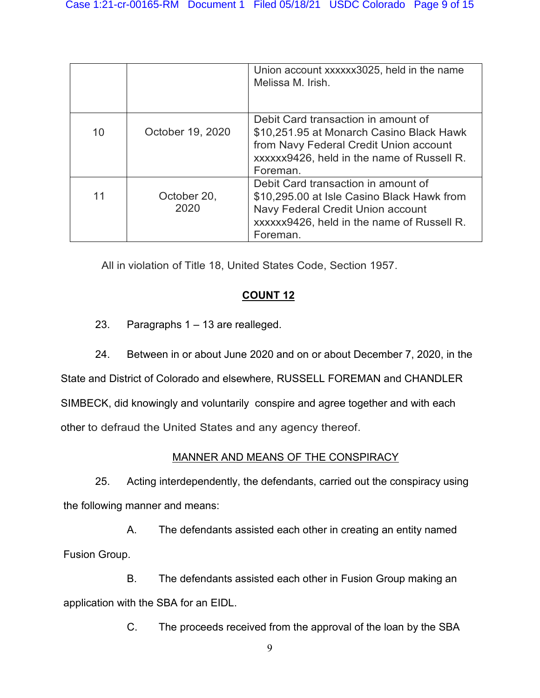|    |                  | Union account xxxxxx3025, held in the name<br>Melissa M. Irish. |
|----|------------------|-----------------------------------------------------------------|
|    |                  | Debit Card transaction in amount of                             |
| 10 | October 19, 2020 | \$10,251.95 at Monarch Casino Black Hawk                        |
|    |                  | from Navy Federal Credit Union account                          |
|    |                  | xxxxxx9426, held in the name of Russell R.                      |
|    |                  | Foreman.                                                        |
|    |                  | Debit Card transaction in amount of                             |
| 11 | October 20,      | \$10,295.00 at Isle Casino Black Hawk from                      |
|    | 2020             | Navy Federal Credit Union account                               |
|    |                  | xxxxxx9426, held in the name of Russell R.                      |
|    |                  | Foreman.                                                        |

All in violation of Title 18, United States Code, Section 1957.

# **COUNT 12**

23. Paragraphs 1 – 13 are realleged.

24. Between in or about June 2020 and on or about December 7, 2020, in the State and District of Colorado and elsewhere, RUSSELL FOREMAN and CHANDLER SIMBECK, did knowingly and voluntarily conspire and agree together and with each other to defraud the United States and any agency thereof.

## MANNER AND MEANS OF THE CONSPIRACY

25. Acting interdependently, the defendants, carried out the conspiracy using the following manner and means:

A. The defendants assisted each other in creating an entity named Fusion Group.

B. The defendants assisted each other in Fusion Group making an application with the SBA for an EIDL.

C. The proceeds received from the approval of the loan by the SBA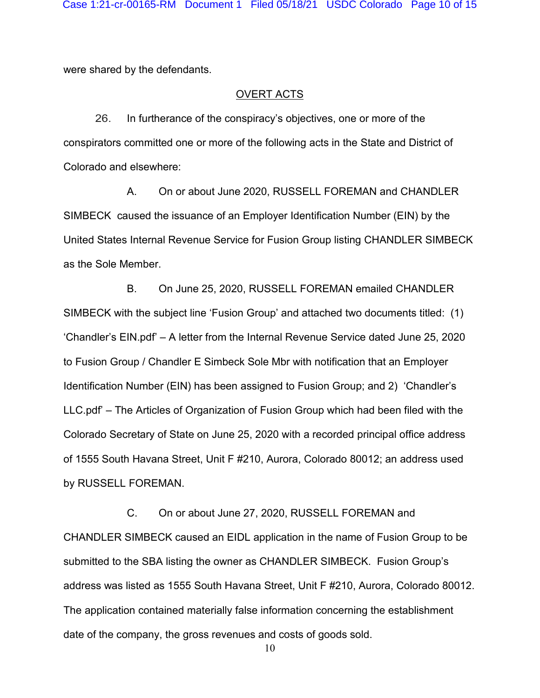were shared by the defendants.

#### OVERT ACTS

26. In furtherance of the conspiracy's objectives, one or more of the conspirators committed one or more of the following acts in the State and District of Colorado and elsewhere:

A. On or about June 2020, RUSSELL FOREMAN and CHANDLER SIMBECK caused the issuance of an Employer Identification Number (EIN) by the United States Internal Revenue Service for Fusion Group listing CHANDLER SIMBECK as the Sole Member.

B. On June 25, 2020, RUSSELL FOREMAN emailed CHANDLER SIMBECK with the subject line 'Fusion Group' and attached two documents titled: (1) 'Chandler's EIN.pdf' – A letter from the Internal Revenue Service dated June 25, 2020 to Fusion Group / Chandler E Simbeck Sole Mbr with notification that an Employer Identification Number (EIN) has been assigned to Fusion Group; and 2) 'Chandler's LLC.pdf' – The Articles of Organization of Fusion Group which had been filed with the Colorado Secretary of State on June 25, 2020 with a recorded principal office address of 1555 South Havana Street, Unit F #210, Aurora, Colorado 80012; an address used by RUSSELL FOREMAN.

C. On or about June 27, 2020, RUSSELL FOREMAN and CHANDLER SIMBECK caused an EIDL application in the name of Fusion Group to be submitted to the SBA listing the owner as CHANDLER SIMBECK. Fusion Group's address was listed as 1555 South Havana Street, Unit F #210, Aurora, Colorado 80012. The application contained materially false information concerning the establishment date of the company, the gross revenues and costs of goods sold.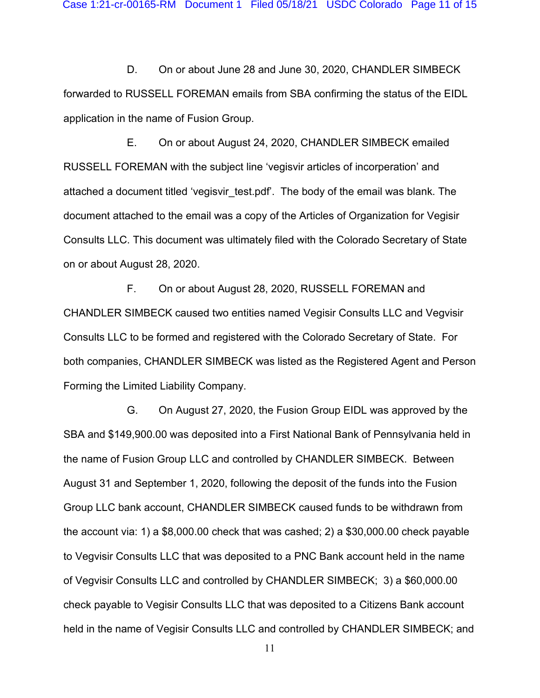D. On or about June 28 and June 30, 2020, CHANDLER SIMBECK forwarded to RUSSELL FOREMAN emails from SBA confirming the status of the EIDL application in the name of Fusion Group.

E. On or about August 24, 2020, CHANDLER SIMBECK emailed RUSSELL FOREMAN with the subject line 'vegisvir articles of incorperation' and attached a document titled 'vegisvir test.pdf'. The body of the email was blank. The document attached to the email was a copy of the Articles of Organization for Vegisir Consults LLC. This document was ultimately filed with the Colorado Secretary of State on or about August 28, 2020.

F. On or about August 28, 2020, RUSSELL FOREMAN and CHANDLER SIMBECK caused two entities named Vegisir Consults LLC and Vegvisir Consults LLC to be formed and registered with the Colorado Secretary of State. For both companies, CHANDLER SIMBECK was listed as the Registered Agent and Person Forming the Limited Liability Company.

G. On August 27, 2020, the Fusion Group EIDL was approved by the SBA and \$149,900.00 was deposited into a First National Bank of Pennsylvania held in the name of Fusion Group LLC and controlled by CHANDLER SIMBECK. Between August 31 and September 1, 2020, following the deposit of the funds into the Fusion Group LLC bank account, CHANDLER SIMBECK caused funds to be withdrawn from the account via: 1) a \$8,000.00 check that was cashed; 2) a \$30,000.00 check payable to Vegvisir Consults LLC that was deposited to a PNC Bank account held in the name of Vegvisir Consults LLC and controlled by CHANDLER SIMBECK; 3) a \$60,000.00 check payable to Vegisir Consults LLC that was deposited to a Citizens Bank account held in the name of Vegisir Consults LLC and controlled by CHANDLER SIMBECK; and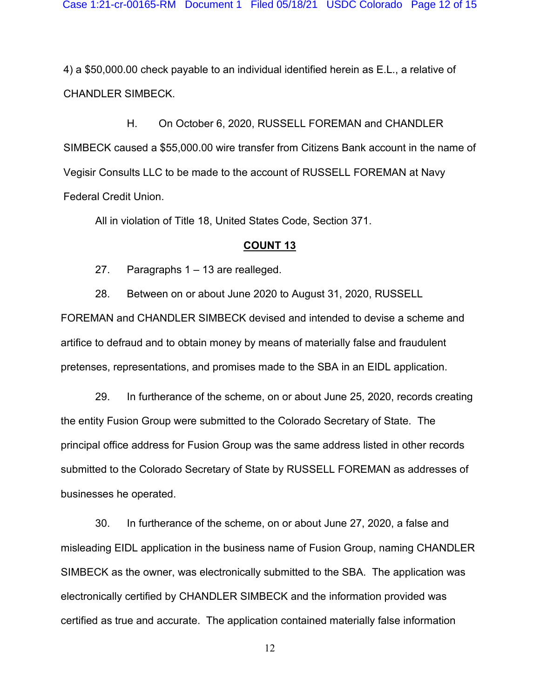4) a \$50,000.00 check payable to an individual identified herein as E.L., a relative of CHANDLER SIMBECK.

H. On October 6, 2020, RUSSELL FOREMAN and CHANDLER SIMBECK caused a \$55,000.00 wire transfer from Citizens Bank account in the name of Vegisir Consults LLC to be made to the account of RUSSELL FOREMAN at Navy Federal Credit Union.

All in violation of Title 18, United States Code, Section 371.

#### **COUNT 13**

27. Paragraphs 1 – 13 are realleged.

28. Between on or about June 2020 to August 31, 2020, RUSSELL FOREMAN and CHANDLER SIMBECK devised and intended to devise a scheme and artifice to defraud and to obtain money by means of materially false and fraudulent pretenses, representations, and promises made to the SBA in an EIDL application.

29. In furtherance of the scheme, on or about June 25, 2020, records creating the entity Fusion Group were submitted to the Colorado Secretary of State. The principal office address for Fusion Group was the same address listed in other records submitted to the Colorado Secretary of State by RUSSELL FOREMAN as addresses of businesses he operated.

30. In furtherance of the scheme, on or about June 27, 2020, a false and misleading EIDL application in the business name of Fusion Group, naming CHANDLER SIMBECK as the owner, was electronically submitted to the SBA. The application was electronically certified by CHANDLER SIMBECK and the information provided was certified as true and accurate. The application contained materially false information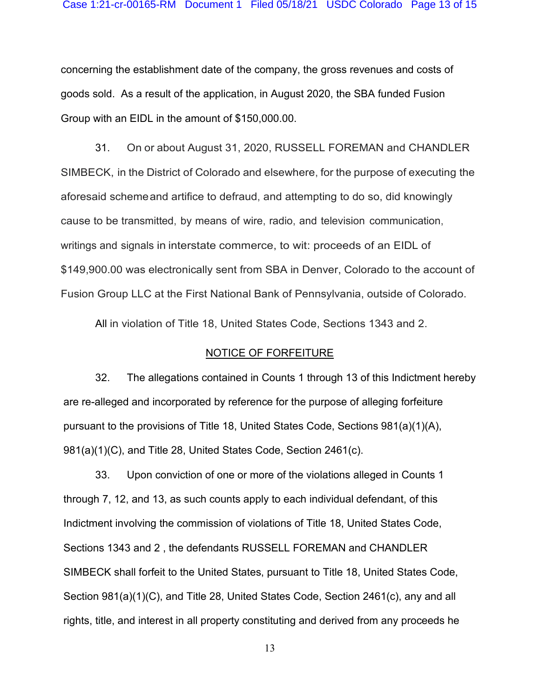concerning the establishment date of the company, the gross revenues and costs of goods sold. As a result of the application, in August 2020, the SBA funded Fusion Group with an EIDL in the amount of \$150,000.00.

31. On or about August 31, 2020, RUSSELL FOREMAN and CHANDLER SIMBECK, in the District of Colorado and elsewhere, for the purpose of executing the aforesaid schemeand artifice to defraud, and attempting to do so, did knowingly cause to be transmitted, by means of wire, radio, and television communication, writings and signals in interstate commerce, to wit: proceeds of an EIDL of \$149,900.00 was electronically sent from SBA in Denver, Colorado to the account of Fusion Group LLC at the First National Bank of Pennsylvania, outside of Colorado.

All in violation of Title 18, United States Code, Sections 1343 and 2.

#### NOTICE OF FORFEITURE

32. The allegations contained in Counts 1 through 13 of this Indictment hereby are re-alleged and incorporated by reference for the purpose of alleging forfeiture pursuant to the provisions of Title 18, United States Code, Sections 981(a)(1)(A), 981(a)(1)(C), and Title 28, United States Code, Section 2461(c).

33. Upon conviction of one or more of the violations alleged in Counts 1 through 7, 12, and 13, as such counts apply to each individual defendant, of this Indictment involving the commission of violations of Title 18, United States Code, Sections 1343 and 2 , the defendants RUSSELL FOREMAN and CHANDLER SIMBECK shall forfeit to the United States, pursuant to Title 18, United States Code, Section 981(a)(1)(C), and Title 28, United States Code, Section 2461(c), any and all rights, title, and interest in all property constituting and derived from any proceeds he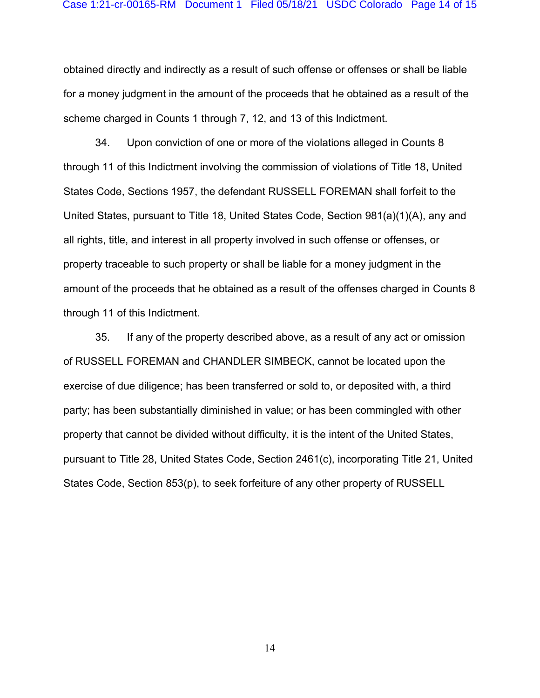obtained directly and indirectly as a result of such offense or offenses or shall be liable for a money judgment in the amount of the proceeds that he obtained as a result of the scheme charged in Counts 1 through 7, 12, and 13 of this Indictment.

34. Upon conviction of one or more of the violations alleged in Counts 8 through 11 of this Indictment involving the commission of violations of Title 18, United States Code, Sections 1957, the defendant RUSSELL FOREMAN shall forfeit to the United States, pursuant to Title 18, United States Code, Section 981(a)(1)(A), any and all rights, title, and interest in all property involved in such offense or offenses, or property traceable to such property or shall be liable for a money judgment in the amount of the proceeds that he obtained as a result of the offenses charged in Counts 8 through 11 of this Indictment.

35. If any of the property described above, as a result of any act or omission of RUSSELL FOREMAN and CHANDLER SIMBECK, cannot be located upon the exercise of due diligence; has been transferred or sold to, or deposited with, a third party; has been substantially diminished in value; or has been commingled with other property that cannot be divided without difficulty, it is the intent of the United States, pursuant to Title 28, United States Code, Section 2461(c), incorporating Title 21, United States Code, Section 853(p), to seek forfeiture of any other property of RUSSELL